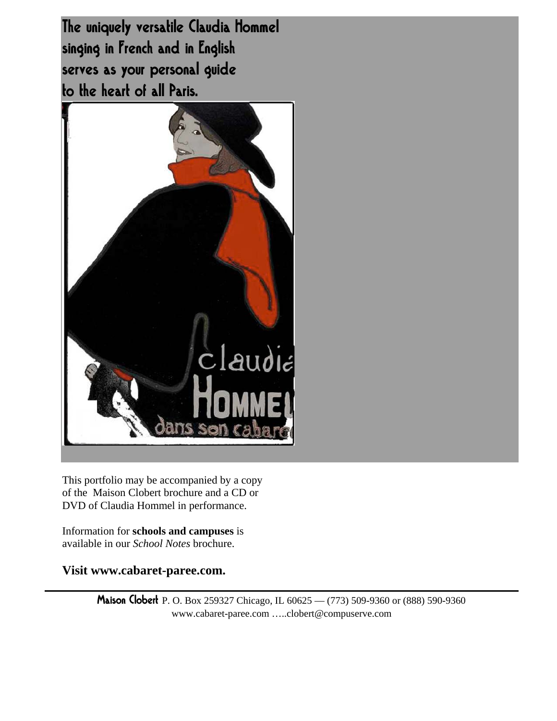The uniquely versatile Claudia Hommel singing in French and in English serves as your personal guide to the heart of all Paris.



This portfolio may be accompanied by a copy of the Maison Clobert brochure and a CD or DVD of Claudia Hommel in performance.

Information for **schools and campuses** is available in our *School Notes* brochure.

**Visit www.cabaret-paree.com.**

Maison Clobert P. O. Box 259327 Chicago, IL 60625 — (773) 509-9360 or (888) 590-9360 www.cabaret-paree.com …..clobert@compuserve.com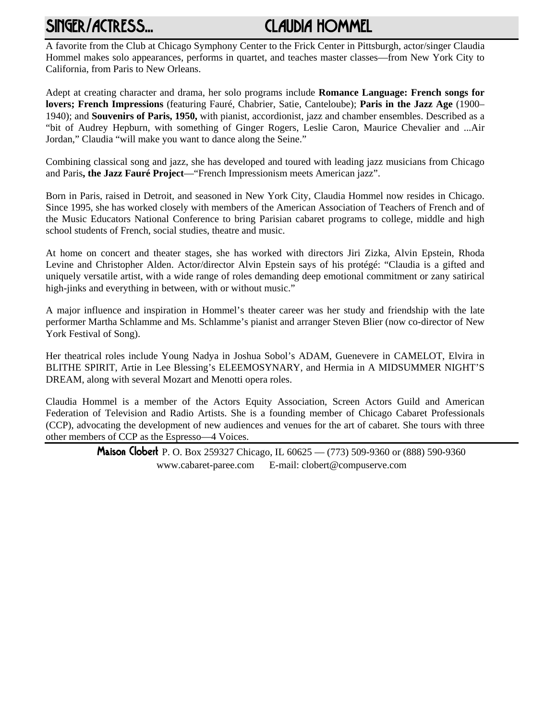# SINGER/ACTRESS... CLAUDIA HOMMEL

A favorite from the Club at Chicago Symphony Center to the Frick Center in Pittsburgh, actor/singer Claudia Hommel makes solo appearances, performs in quartet, and teaches master classes—from New York City to California, from Paris to New Orleans.

Adept at creating character and drama, her solo programs include **Romance Language: French songs for lovers; French Impressions** (featuring Fauré, Chabrier, Satie, Canteloube); **Paris in the Jazz Age** (1900– 1940); and **Souvenirs of Paris, 1950,** with pianist, accordionist, jazz and chamber ensembles. Described as a "bit of Audrey Hepburn, with something of Ginger Rogers, Leslie Caron, Maurice Chevalier and ...Air Jordan," Claudia "will make you want to dance along the Seine."

Combining classical song and jazz, she has developed and toured with leading jazz musicians from Chicago and Paris**, the Jazz Fauré Project**—"French Impressionism meets American jazz".

Born in Paris, raised in Detroit, and seasoned in New York City, Claudia Hommel now resides in Chicago. Since 1995, she has worked closely with members of the American Association of Teachers of French and of the Music Educators National Conference to bring Parisian cabaret programs to college, middle and high school students of French, social studies, theatre and music.

At home on concert and theater stages, she has worked with directors Jiri Zizka, Alvin Epstein, Rhoda Levine and Christopher Alden. Actor/director Alvin Epstein says of his protégé: "Claudia is a gifted and uniquely versatile artist, with a wide range of roles demanding deep emotional commitment or zany satirical high-jinks and everything in between, with or without music."

A major influence and inspiration in Hommel's theater career was her study and friendship with the late performer Martha Schlamme and Ms. Schlamme's pianist and arranger Steven Blier (now co-director of New York Festival of Song).

Her theatrical roles include Young Nadya in Joshua Sobol's ADAM, Guenevere in CAMELOT, Elvira in BLITHE SPIRIT, Artie in Lee Blessing's ELEEMOSYNARY, and Hermia in A MIDSUMMER NIGHT'S DREAM, along with several Mozart and Menotti opera roles.

Claudia Hommel is a member of the Actors Equity Association, Screen Actors Guild and American Federation of Television and Radio Artists. She is a founding member of Chicago Cabaret Professionals (CCP), advocating the development of new audiences and venues for the art of cabaret. She tours with three other members of CCP as the Espresso—4 Voices.

> Maison Clobert P. O. Box 259327 Chicago, IL 60625 — (773) 509-9360 or (888) 590-9360 www.cabaret-paree.com E-mail: clobert@compuserve.com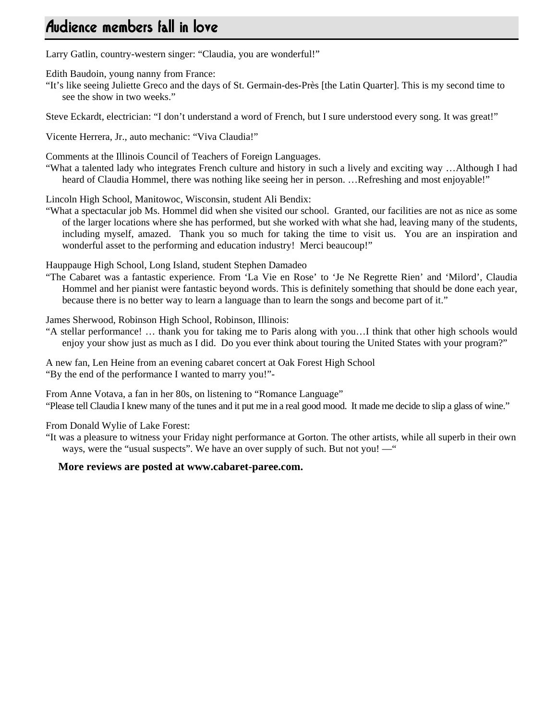# Audience members fall in love

Larry Gatlin, country-western singer: "Claudia, you are wonderful!"

Edith Baudoin, young nanny from France:

"It's like seeing Juliette Greco and the days of St. Germain-des-Près [the Latin Quarter]. This is my second time to see the show in two weeks."

Steve Eckardt, electrician: "I don't understand a word of French, but I sure understood every song. It was great!"

Vicente Herrera, Jr., auto mechanic: "Viva Claudia!"

Comments at the Illinois Council of Teachers of Foreign Languages.

"What a talented lady who integrates French culture and history in such a lively and exciting way …Although I had heard of Claudia Hommel, there was nothing like seeing her in person. …Refreshing and most enjoyable!"

Lincoln High School, Manitowoc, Wisconsin, student Ali Bendix:

"What a spectacular job Ms. Hommel did when she visited our school. Granted, our facilities are not as nice as some of the larger locations where she has performed, but she worked with what she had, leaving many of the students, including myself, amazed. Thank you so much for taking the time to visit us. You are an inspiration and wonderful asset to the performing and education industry! Merci beaucoup!"

Hauppauge High School, Long Island, student Stephen Damadeo

"The Cabaret was a fantastic experience. From 'La Vie en Rose' to 'Je Ne Regrette Rien' and 'Milord', Claudia Hommel and her pianist were fantastic beyond words. This is definitely something that should be done each year, because there is no better way to learn a language than to learn the songs and become part of it."

James Sherwood, Robinson High School, Robinson, Illinois:

"A stellar performance! … thank you for taking me to Paris along with you…I think that other high schools would enjoy your show just as much as I did. Do you ever think about touring the United States with your program?"

A new fan, Len Heine from an evening cabaret concert at Oak Forest High School "By the end of the performance I wanted to marry you!"-

From Anne Votava, a fan in her 80s, on listening to "Romance Language" "Please tell Claudia I knew many of the tunes and it put me in a real good mood. It made me decide to slip a glass of wine."

From Donald Wylie of Lake Forest:

"It was a pleasure to witness your Friday night performance at Gorton. The other artists, while all superb in their own ways, were the "usual suspects". We have an over supply of such. But not you! — "

#### **More reviews are posted at www.cabaret-paree.com.**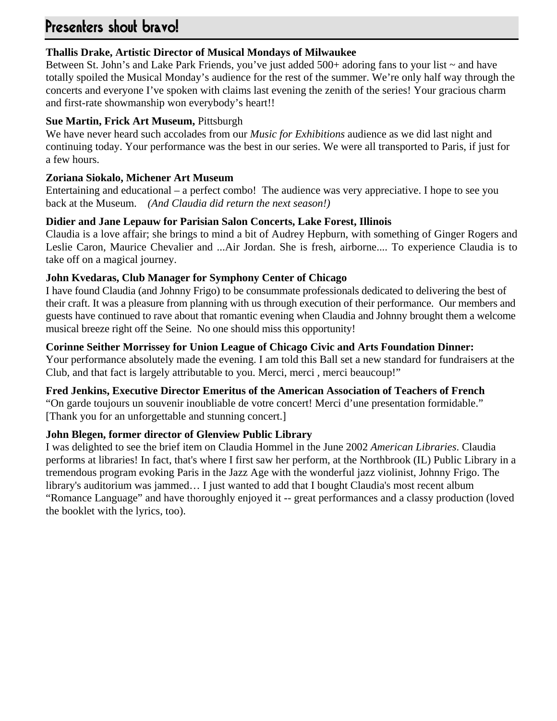# Presenters shout bravo!

# **Thallis Drake, Artistic Director of Musical Mondays of Milwaukee**

Between St. John's and Lake Park Friends, you've just added 500+ adoring fans to your list ~ and have totally spoiled the Musical Monday's audience for the rest of the summer. We're only half way through the concerts and everyone I've spoken with claims last evening the zenith of the series! Your gracious charm and first-rate showmanship won everybody's heart!!

# **Sue Martin, Frick Art Museum,** Pittsburgh

We have never heard such accolades from our *Music for Exhibitions* audience as we did last night and continuing today. Your performance was the best in our series. We were all transported to Paris, if just for a few hours.

# **Zoriana Siokalo, Michener Art Museum**

Entertaining and educational – a perfect combo! The audience was very appreciative. I hope to see you back at the Museum. *(And Claudia did return the next season!)*

# **Didier and Jane Lepauw for Parisian Salon Concerts, Lake Forest, Illinois**

Claudia is a love affair; she brings to mind a bit of Audrey Hepburn, with something of Ginger Rogers and Leslie Caron, Maurice Chevalier and ...Air Jordan. She is fresh, airborne.... To experience Claudia is to take off on a magical journey.

# **John Kvedaras, Club Manager for Symphony Center of Chicago**

I have found Claudia (and Johnny Frigo) to be consummate professionals dedicated to delivering the best of their craft. It was a pleasure from planning with us through execution of their performance. Our members and guests have continued to rave about that romantic evening when Claudia and Johnny brought them a welcome musical breeze right off the Seine. No one should miss this opportunity!

# **Corinne Seither Morrissey for Union League of Chicago Civic and Arts Foundation Dinner:**

Your performance absolutely made the evening. I am told this Ball set a new standard for fundraisers at the Club, and that fact is largely attributable to you. Merci, merci , merci beaucoup!"

## **Fred Jenkins, Executive Director Emeritus of the American Association of Teachers of French**

"On garde toujours un souvenir inoubliable de votre concert! Merci d'une presentation formidable." [Thank you for an unforgettable and stunning concert.]

# **John Blegen, former director of Glenview Public Library**

I was delighted to see the brief item on Claudia Hommel in the June 2002 *American Libraries*. Claudia performs at libraries! In fact, that's where I first saw her perform, at the Northbrook (IL) Public Library in a tremendous program evoking Paris in the Jazz Age with the wonderful jazz violinist, Johnny Frigo. The library's auditorium was jammed… I just wanted to add that I bought Claudia's most recent album "Romance Language" and have thoroughly enjoyed it -- great performances and a classy production (loved the booklet with the lyrics, too).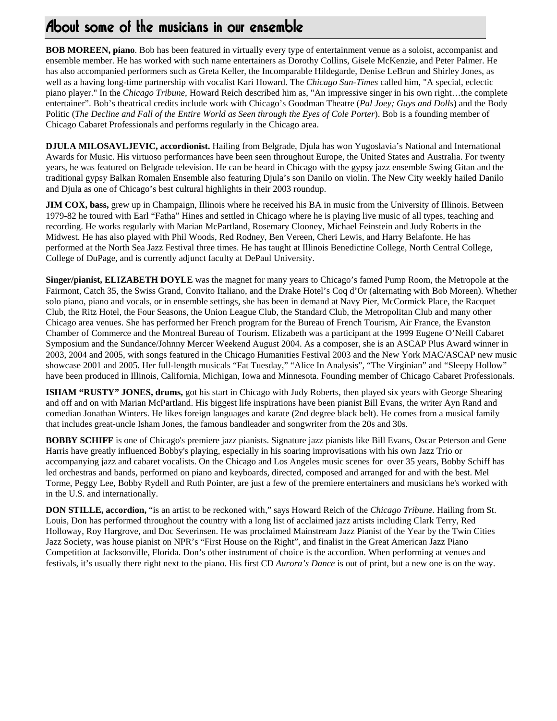**BOB MOREEN, piano**. Bob has been featured in virtually every type of entertainment venue as a soloist, accompanist and ensemble member. He has worked with such name entertainers as Dorothy Collins, Gisele McKenzie, and Peter Palmer. He has also accompanied performers such as Greta Keller, the Incomparable Hildegarde, Denise LeBrun and Shirley Jones, as well as a having long-time partnership with vocalist Kari Howard. The *Chicago Sun-Times* called him, "A special, eclectic piano player." In the *Chicago Tribune*, Howard Reich described him as, "An impressive singer in his own right…the complete entertainer". Bob's theatrical credits include work with Chicago's Goodman Theatre (*Pal Joey; Guys and Dolls*) and the Body Politic (*The Decline and Fall of the Entire World as Seen through the Eyes of Cole Porter*). Bob is a founding member of Chicago Cabaret Professionals and performs regularly in the Chicago area.

**DJULA MILOSAVLJEVIC, accordionist.** Hailing from Belgrade, Djula has won Yugoslavia's National and International Awards for Music. His virtuoso performances have been seen throughout Europe, the United States and Australia. For twenty years, he was featured on Belgrade television. He can be heard in Chicago with the gypsy jazz ensemble Swing Gitan and the traditional gypsy Balkan Romalen Ensemble also featuring Djula's son Danilo on violin. The New City weekly hailed Danilo and Djula as one of Chicago's best cultural highlights in their 2003 roundup.

**JIM COX, bass,** grew up in Champaign, Illinois where he received his BA in music from the University of Illinois. Between 1979-82 he toured with Earl "Fatha" Hines and settled in Chicago where he is playing live music of all types, teaching and recording. He works regularly with Marian McPartland, Rosemary Clooney, Michael Feinstein and Judy Roberts in the Midwest. He has also played with Phil Woods, Red Rodney, Ben Vereen, Cheri Lewis, and Harry Belafonte. He has performed at the North Sea Jazz Festival three times. He has taught at Illinois Benedictine College, North Central College, College of DuPage, and is currently adjunct faculty at DePaul University.

**Singer/pianist, ELIZABETH DOYLE** was the magnet for many years to Chicago's famed Pump Room, the Metropole at the Fairmont, Catch 35, the Swiss Grand, Convito Italiano, and the Drake Hotel's Coq d'Or (alternating with Bob Moreen). Whether solo piano, piano and vocals, or in ensemble settings, she has been in demand at Navy Pier, McCormick Place, the Racquet Club, the Ritz Hotel, the Four Seasons, the Union League Club, the Standard Club, the Metropolitan Club and many other Chicago area venues. She has performed her French program for the Bureau of French Tourism, Air France, the Evanston Chamber of Commerce and the Montreal Bureau of Tourism. Elizabeth was a participant at the 1999 Eugene O'Neill Cabaret Symposium and the Sundance/Johnny Mercer Weekend August 2004. As a composer, she is an ASCAP Plus Award winner in 2003, 2004 and 2005, with songs featured in the Chicago Humanities Festival 2003 and the New York MAC/ASCAP new music showcase 2001 and 2005. Her full-length musicals "Fat Tuesday," "Alice In Analysis", "The Virginian" and "Sleepy Hollow" have been produced in Illinois, California, Michigan, Iowa and Minnesota. Founding member of Chicago Cabaret Professionals.

**ISHAM "RUSTY" JONES, drums,** got his start in Chicago with Judy Roberts, then played six years with George Shearing and off and on with Marian McPartland. His biggest life inspirations have been pianist Bill Evans, the writer Ayn Rand and comedian Jonathan Winters. He likes foreign languages and karate (2nd degree black belt). He comes from a musical family that includes great-uncle Isham Jones, the famous bandleader and songwriter from the 20s and 30s.

**BOBBY SCHIFF** is one of Chicago's premiere jazz pianists. Signature jazz pianists like Bill Evans, Oscar Peterson and Gene Harris have greatly influenced Bobby's playing, especially in his soaring improvisations with his own Jazz Trio or accompanying jazz and cabaret vocalists. On the Chicago and Los Angeles music scenes for over 35 years, Bobby Schiff has led orchestras and bands, performed on piano and keyboards, directed, composed and arranged for and with the best. Mel Torme, Peggy Lee, Bobby Rydell and Ruth Pointer, are just a few of the premiere entertainers and musicians he's worked with in the U.S. and internationally.

**DON STILLE, accordion,** "is an artist to be reckoned with," says Howard Reich of the *Chicago Tribune*. Hailing from St. Louis, Don has performed throughout the country with a long list of acclaimed jazz artists including Clark Terry, Red Holloway, Roy Hargrove, and Doc Severinsen. He was proclaimed Mainstream Jazz Pianist of the Year by the Twin Cities Jazz Society, was house pianist on NPR's "First House on the Right", and finalist in the Great American Jazz Piano Competition at Jacksonville, Florida. Don's other instrument of choice is the accordion. When performing at venues and festivals, it's usually there right next to the piano. His first CD *Aurora's Dance* is out of print, but a new one is on the way.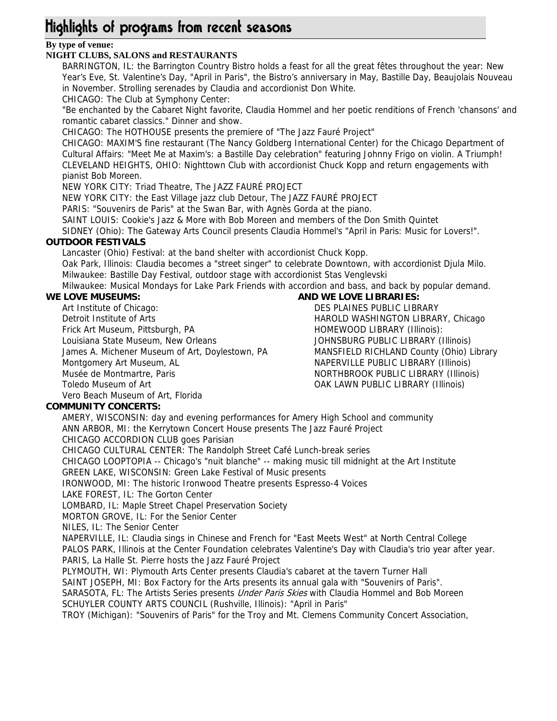# Highlights of programs from recent seasons

# **By type of venue:**

#### **NIGHT CLUBS, SALONS and RESTAURANTS**

BARRINGTON, IL: the Barrington Country Bistro holds a feast for all the great fêtes throughout the year: New Year's Eve, St. Valentine's Day, "April in Paris", the Bistro's anniversary in May, Bastille Day, Beaujolais Nouveau in November. Strolling serenades by Claudia and accordionist Don White.

CHICAGO: The Club at Symphony Center:

"Be enchanted by the Cabaret Night favorite, Claudia Hommel and her poetic renditions of French 'chansons' and romantic cabaret classics." Dinner and show.

CHICAGO: The HOTHOUSE presents the premiere of "The Jazz Fauré Project"

CHICAGO: MAXIM'S fine restaurant (The Nancy Goldberg International Center) for the Chicago Department of Cultural Affairs: "Meet Me at Maxim's: a Bastille Day celebration" featuring Johnny Frigo on violin. A Triumph! CLEVELAND HEIGHTS, OHIO: Nighttown Club with accordionist Chuck Kopp and return engagements with pianist Bob Moreen.

NEW YORK CITY: Triad Theatre, The JAZZ FAURÉ PROJECT

NEW YORK CITY: the East Village jazz club Detour, The JAZZ FAURÉ PROJECT

PARIS: "Souvenirs de Paris" at the Swan Bar, with Agnès Gorda at the piano.

SAINT LOUIS: Cookie's Jazz & More with Bob Moreen and members of the Don Smith Quintet

SIDNEY (Ohio): The Gateway Arts Council presents Claudia Hommel's "April in Paris: Music for Lovers!".

#### **OUTDOOR FESTIVALS**

Lancaster (Ohio) Festival: at the band shelter with accordionist Chuck Kopp.

Oak Park, Illinois: Claudia becomes a "street singer" to celebrate Downtown, with accordionist Djula Milo. Milwaukee: Bastille Day Festival, outdoor stage with accordionist Stas Venglevski

Milwaukee: Musical Mondays for Lake Park Friends with accordion and bass, and back by popular demand.

#### **WE LOVE MUSEUMS:**

Art Institute of Chicago: Detroit Institute of Arts Frick Art Museum, Pittsburgh, PA Louisiana State Museum, New Orleans James A. Michener Museum of Art, Doylestown, PA Montgomery Art Museum, AL Musée de Montmartre, Paris Toledo Museum of Art Vero Beach Museum of Art, Florida

# **AND WE LOVE LIBRARIES:**

DES PLAINES PUBLIC LIBRARY HAROLD WASHINGTON LIBRARY, Chicago HOMEWOOD LIBRARY (Illinois): JOHNSBURG PUBLIC LIBRARY (Illinois) MANSFIELD RICHLAND County (Ohio) Library NAPERVILLE PUBLIC LIBRARY (Illinois) NORTHBROOK PUBLIC LIBRARY (Illinois) OAK LAWN PUBLIC LIBRARY (Illinois)

#### **COMMUNITY CONCERTS:**

AMERY, WISCONSIN: day and evening performances for Amery High School and community ANN ARBOR, MI: the Kerrytown Concert House presents The Jazz Fauré Project CHICAGO ACCORDION CLUB goes Parisian

CHICAGO CULTURAL CENTER: The Randolph Street Café Lunch-break series

CHICAGO LOOPTOPIA -- Chicago's "nuit blanche" -- making music till midnight at the Art Institute

GREEN LAKE, WISCONSIN: Green Lake Festival of Music presents

IRONWOOD, MI: The historic Ironwood Theatre presents Espresso-4 Voices

LAKE FOREST, IL: The Gorton Center

LOMBARD, IL: Maple Street Chapel Preservation Society

MORTON GROVE, IL: For the Senior Center

NILES, IL: The Senior Center

NAPERVILLE, IL: Claudia sings in Chinese and French for "East Meets West" at North Central College PALOS PARK, Illinois at the Center Foundation celebrates Valentine's Day with Claudia's trio year after year. PARIS, La Halle St. Pierre hosts the Jazz Fauré Project

PLYMOUTH, WI: Plymouth Arts Center presents Claudia's cabaret at the tavern Turner Hall

SAINT JOSEPH, MI: Box Factory for the Arts presents its annual gala with "Souvenirs of Paris". SARASOTA, FL: The Artists Series presents *Under Paris Skies* with Claudia Hommel and Bob Moreen SCHUYLER COUNTY ARTS COUNCIL (Rushville, Illinois): "April in Paris"

TROY (Michigan): "Souvenirs of Paris" for the Troy and Mt. Clemens Community Concert Association,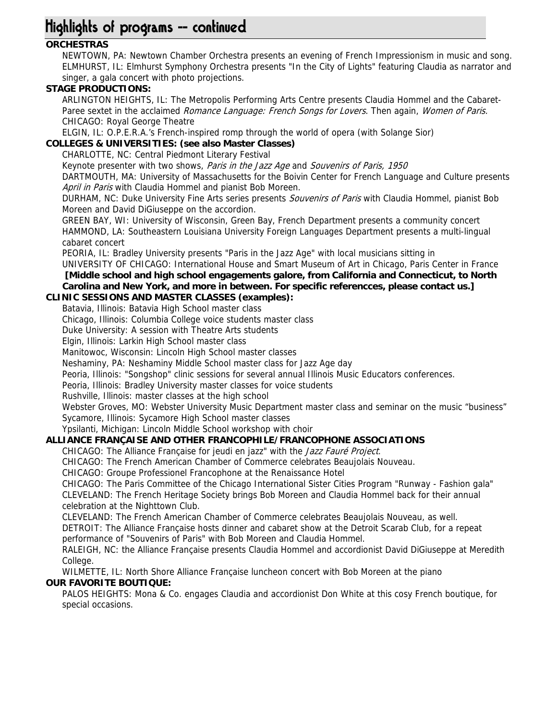# Highlights of programs -- continued

# **ORCHESTRAS**

NEWTOWN, PA: Newtown Chamber Orchestra presents an evening of French Impressionism in music and song. ELMHURST, IL: Elmhurst Symphony Orchestra presents "In the City of Lights" featuring Claudia as narrator and singer, a gala concert with photo projections.

### **STAGE PRODUCTIONS:**

ARLINGTON HEIGHTS, IL: The Metropolis Performing Arts Centre presents Claudia Hommel and the Cabaret-Paree sextet in the acclaimed Romance Language: French Songs for Lovers. Then again, Women of Paris. CHICAGO: Royal George Theatre

ELGIN, IL: O.P.E.R.A.'s French-inspired romp through the world of opera (with Solange Sior)

#### **COLLEGES & UNIVERSITIES: (see also Master Classes)**

CHARLOTTE, NC: Central Piedmont Literary Festival

Keynote presenter with two shows, Paris in the Jazz Age and Souvenirs of Paris, 1950

DARTMOUTH, MA: University of Massachusetts for the Boivin Center for French Language and Culture presents April in Paris with Claudia Hommel and pianist Bob Moreen.

DURHAM, NC: Duke University Fine Arts series presents *Souvenirs of Paris* with Claudia Hommel, pianist Bob Moreen and David DiGiuseppe on the accordion.

GREEN BAY, WI: University of Wisconsin, Green Bay, French Department presents a community concert HAMMOND, LA: Southeastern Louisiana University Foreign Languages Department presents a multi-lingual cabaret concert

PEORIA, IL: Bradley University presents "Paris in the Jazz Age" with local musicians sitting in

UNIVERSITY OF CHICAGO: International House and Smart Museum of Art in Chicago, Paris Center in France  **[Middle school and high school engagements galore, from California and Connecticut, to North Carolina and New York, and more in between. For specific referencces, please contact us.]**

# **CLINIC SESSIONS AND MASTER CLASSES (examples):**

Batavia, Illinois: Batavia High School master class

Chicago, Illinois: Columbia College voice students master class

Duke University: A session with Theatre Arts students

Elgin, Illinois: Larkin High School master class

Manitowoc, Wisconsin: Lincoln High School master classes

Neshaminy, PA: Neshaminy Middle School master class for Jazz Age day

Peoria, Illinois: "Songshop" clinic sessions for several annual Illinois Music Educators conferences.

Peoria, Illinois: Bradley University master classes for voice students

Rushville, Illinois: master classes at the high school

Webster Groves, MO: Webster University Music Department master class and seminar on the music "business" Sycamore, Illinois: Sycamore High School master classes

Ypsilanti, Michigan: Lincoln Middle School workshop with choir

#### **ALLIANCE FRANÇAISE AND OTHER FRANCOPHILE/FRANCOPHONE ASSOCIATIONS**

CHICAGO: The Alliance Française for jeudi en jazz" with the Jazz Fauré Project.

CHICAGO: The French American Chamber of Commerce celebrates Beaujolais Nouveau.

CHICAGO: Groupe Professionel Francophone at the Renaissance Hotel

CHICAGO: The Paris Committee of the Chicago International Sister Cities Program "Runway - Fashion gala" CLEVELAND: The French Heritage Society brings Bob Moreen and Claudia Hommel back for their annual celebration at the Nighttown Club.

CLEVELAND: The French American Chamber of Commerce celebrates Beaujolais Nouveau, as well.

DETROIT: The Alliance Française hosts dinner and cabaret show at the Detroit Scarab Club, for a repeat performance of "Souvenirs of Paris" with Bob Moreen and Claudia Hommel.

RALEIGH, NC: the Alliance Française presents Claudia Hommel and accordionist David DiGiuseppe at Meredith College.

WILMETTE, IL: North Shore Alliance Française luncheon concert with Bob Moreen at the piano **OUR FAVORITE BOUTIQUE:**

PALOS HEIGHTS: Mona & Co. engages Claudia and accordionist Don White at this cosy French boutique, for special occasions.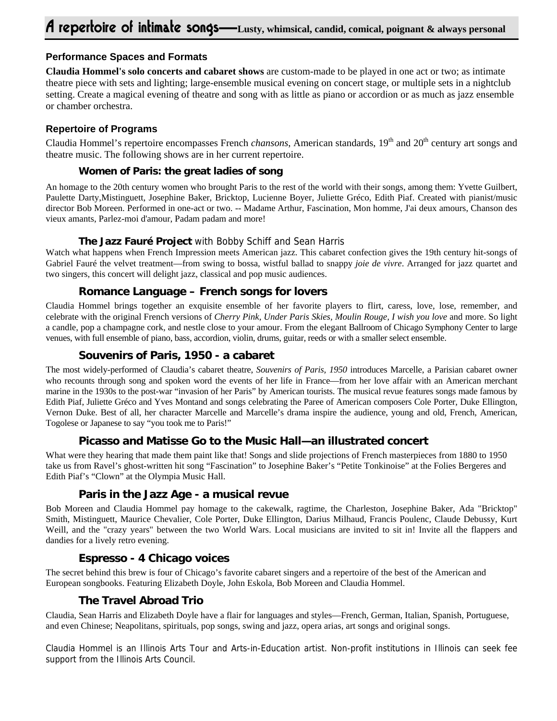#### **Performance Spaces and Formats**

**Claudia Hommel's solo concerts and cabaret shows** are custom-made to be played in one act or two; as intimate theatre piece with sets and lighting; large-ensemble musical evening on concert stage, or multiple sets in a nightclub setting. Create a magical evening of theatre and song with as little as piano or accordion or as much as jazz ensemble or chamber orchestra.

#### **Repertoire of Programs**

Claudia Hommel's repertoire encompasses French *chansons*, American standards, 19<sup>th</sup> and 20<sup>th</sup> century art songs and theatre music. The following shows are in her current repertoire.

#### **Women of Paris: the great ladies of song**

An homage to the 20th century women who brought Paris to the rest of the world with their songs, among them: Yvette Guilbert, Paulette Darty,Mistinguett, Josephine Baker, Bricktop, Lucienne Boyer, Juliette Gréco, Edith Piaf. Created with pianist/music director Bob Moreen. Performed in one-act or two. -- Madame Arthur, Fascination, Mon homme, J'ai deux amours, Chanson des vieux amants, Parlez-moi d'amour, Padam padam and more!

#### **The Jazz Fauré Project** with Bobby Schiff and Sean Harris

Watch what happens when French Impression meets American jazz. This cabaret confection gives the 19th century hit-songs of Gabriel Fauré the velvet treatment—from swing to bossa, wistful ballad to snappy *joie de vivre*. Arranged for jazz quartet and two singers, this concert will delight jazz, classical and pop music audiences.

## **Romance Language – French songs for lovers**

Claudia Hommel brings together an exquisite ensemble of her favorite players to flirt, caress, love, lose, remember, and celebrate with the original French versions of *Cherry Pink, Under Paris Skies, Moulin Rouge, I wish you love* and more. So light a candle, pop a champagne cork, and nestle close to your amour. From the elegant Ballroom of Chicago Symphony Center to large venues, with full ensemble of piano, bass, accordion, violin, drums, guitar, reeds or with a smaller select ensemble.

# **Souvenirs of Paris, 1950 - a cabaret**

The most widely-performed of Claudia's cabaret theatre, *Souvenirs of Paris, 1950* introduces Marcelle, a Parisian cabaret owner who recounts through song and spoken word the events of her life in France—from her love affair with an American merchant marine in the 1930s to the post-war "invasion of her Paris" by American tourists. The musical revue features songs made famous by Edith Piaf, Juliette Gréco and Yves Montand and songs celebrating the Paree of American composers Cole Porter, Duke Ellington, Vernon Duke. Best of all, her character Marcelle and Marcelle's drama inspire the audience, young and old, French, American, Togolese or Japanese to say "you took me to Paris!"

## **Picasso and Matisse Go to the Music Hall—an illustrated concert**

What were they hearing that made them paint like that! Songs and slide projections of French masterpieces from 1880 to 1950 take us from Ravel's ghost-written hit song "Fascination" to Josephine Baker's "Petite Tonkinoise" at the Folies Bergeres and Edith Piaf's "Clown" at the Olympia Music Hall.

#### **Paris in the Jazz Age - a musical revue**

Bob Moreen and Claudia Hommel pay homage to the cakewalk, ragtime, the Charleston, Josephine Baker, Ada "Bricktop" Smith, Mistinguett, Maurice Chevalier, Cole Porter, Duke Ellington, Darius Milhaud, Francis Poulenc, Claude Debussy, Kurt Weill, and the "crazy years" between the two World Wars. Local musicians are invited to sit in! Invite all the flappers and dandies for a lively retro evening.

## **Espresso - 4 Chicago voices**

The secret behind this brew is four of Chicago's favorite cabaret singers and a repertoire of the best of the American and European songbooks. Featuring Elizabeth Doyle, John Eskola, Bob Moreen and Claudia Hommel.

## **The Travel Abroad Trio**

Claudia, Sean Harris and Elizabeth Doyle have a flair for languages and styles—French, German, Italian, Spanish, Portuguese, and even Chinese; Neapolitans, spirituals, pop songs, swing and jazz, opera arias, art songs and original songs.

Claudia Hommel is an Illinois Arts Tour and Arts-in-Education artist. Non-profit institutions in Illinois can seek fee support from the Illinois Arts Council.